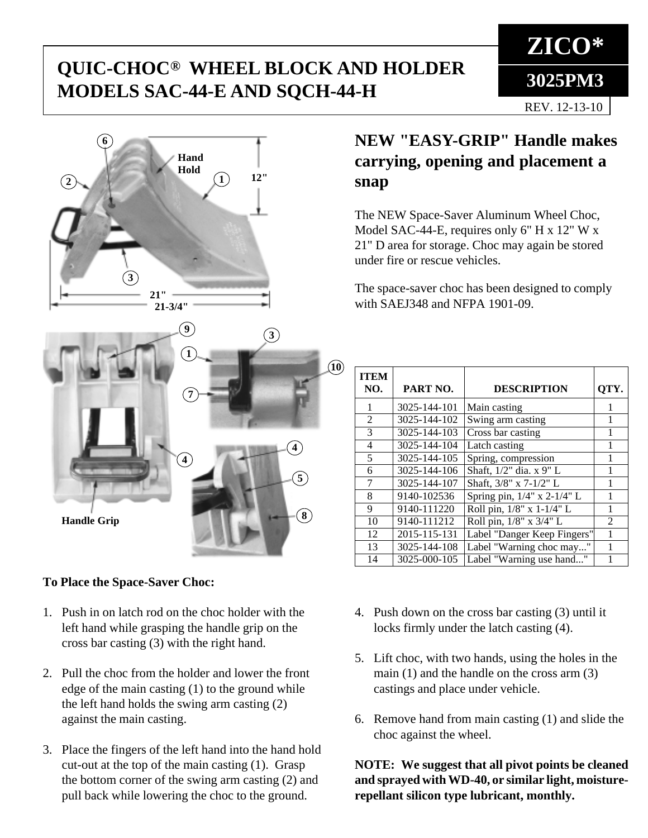# **QUIC-CHOC® WHEEL BLOCK AND HOLDER**<br>MODELS SAC 44 F AND SOCH 44 H **MODELS SAC-44-E AND SQCH-44-H**



#### **To Place the Space-Saver Choc:**

- 1. Push in on latch rod on the choc holder with the left hand while grasping the handle grip on the cross bar casting (3) with the right hand.
- 2. Pull the choc from the holder and lower the front edge of the main casting (1) to the ground while the left hand holds the swing arm casting (2) against the main casting.
- 3. Place the fingers of the left hand into the hand hold cut-out at the top of the main casting (1). Grasp the bottom corner of the swing arm casting (2) and pull back while lowering the choc to the ground.

# **NEW "EASY-GRIP" Handle makes carrying, opening and placement a snap**

The NEW Space-Saver Aluminum Wheel Choc, Model SAC-44-E, requires only 6" H x 12" W x 21" D area for storage. Choc may again be stored under fire or rescue vehicles.

The space-saver choc has been designed to comply with SAEJ348 and NFPA 1901-09.

| <b>ITEM</b><br>NO. | PART NO.     | <b>DESCRIPTION</b>          | QTY.           |
|--------------------|--------------|-----------------------------|----------------|
| 1                  | 3025-144-101 | Main casting                |                |
| $\overline{2}$     | 3025-144-102 | Swing arm casting           |                |
| 3                  | 3025-144-103 | Cross bar casting           |                |
| 4                  | 3025-144-104 | Latch casting               |                |
| 5                  | 3025-144-105 | Spring, compression         |                |
| 6                  | 3025-144-106 | Shaft, 1/2" dia. x 9" L     | 1              |
| 7                  | 3025-144-107 | Shaft, 3/8" x 7-1/2" L      | 1              |
| 8                  | 9140-102536  | Spring pin, 1/4" x 2-1/4" L |                |
| 9                  | 9140-111220  | Roll pin, 1/8" x 1-1/4" L   | 1              |
| 10                 | 9140-111212  | Roll pin, 1/8" x 3/4" L     | $\mathfrak{D}$ |
| 12                 | 2015-115-131 | Label "Danger Keep Fingers" |                |
| 13                 | 3025-144-108 | Label "Warning choc may"    |                |
| 14                 | 3025-000-105 | Label "Warning use hand"    |                |

- 4. Push down on the cross bar casting (3) until it locks firmly under the latch casting (4).
- 5. Lift choc, with two hands, using the holes in the main (1) and the handle on the cross arm (3) castings and place under vehicle.
- 6. Remove hand from main casting (1) and slide the choc against the wheel.

**NOTE: We suggest that all pivot points be cleaned and sprayed with WD-40, or similar light, moisturerepellant silicon type lubricant, monthly.**